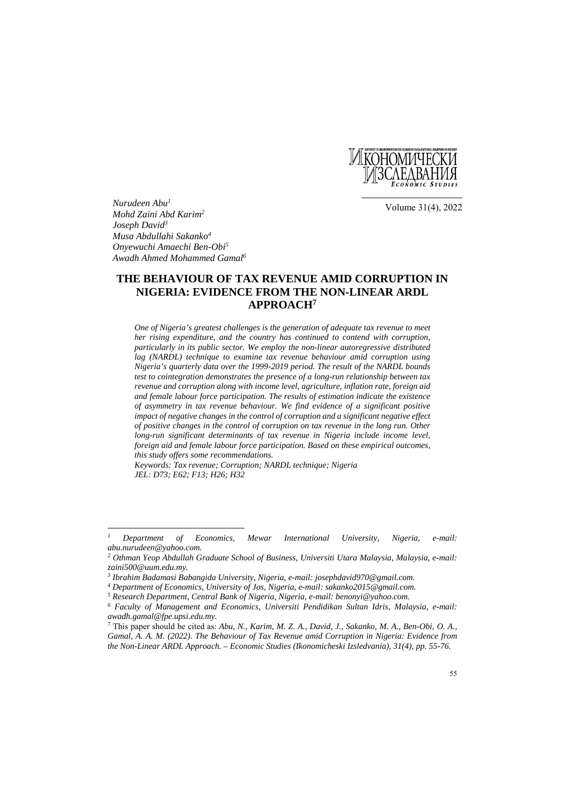

Volume 31(4), 2022

*Nurudeen Abu1 Mohd Zaini Abd Karim2 Joseph David3 Musa Abdullahi Sakanko4 Onyewuchi Amaechi Ben-Obi5 Awadh Ahmed Mohammed Gamal6*

# **THE BEHAVIOUR OF TAX REVENUE AMID CORRUPTION IN NIGERIA: EVIDENCE FROM THE NON-LINEAR ARDL APPROACH7**

*One of Nigeria's greatest challenges is the generation of adequate tax revenue to meet her rising expenditure, and the country has continued to contend with corruption, particularly in its public sector. We employ the non-linear autoregressive distributed lag (NARDL) technique to examine tax revenue behaviour amid corruption using Nigeria's quarterly data over the 1999-2019 period. The result of the NARDL bounds test to cointegration demonstrates the presence of a long-run relationship between tax revenue and corruption along with income level, agriculture, inflation rate, foreign aid and female labour force participation. The results of estimation indicate the existence of asymmetry in tax revenue behaviour. We find evidence of a significant positive impact of negative changes in the control of corruption and a significant negative effect of positive changes in the control of corruption on tax revenue in the long run. Other long-run significant determinants of tax revenue in Nigeria include income level, foreign aid and female labour force participation. Based on these empirical outcomes, this study offers some recommendations.* 

*Keywords: Tax revenue; Corruption; NARDL technique; Nigeria JEL: D73; E62; F13; H26; H32*

 $\overline{I}$ *1 Department of Economics, Mewar International University, Nigeria, e-mail: abu.nurudeen@yahoo.com.* 

*<sup>2</sup> Othman Yeop Abdullah Graduate School of Business, Universiti Utara Malaysia, Malaysia, e-mail: zaini500@uum.edu.my.* 

<sup>&</sup>lt;sup>3</sup> Ibrahim Badamasi Babangida University, Nigeria, e-mail: josephdavid970@gmail.com.<br><sup>4</sup> Department of Economics, University of Jos, Nigeria, e-mail: sakanko2015@gmail.com.<br><sup>5</sup> Research Department, Central Bank of Nigeri *awadh.gamal@fpe.upsi.edu.my.* 

<sup>7</sup> This paper should be cited as: *Abu, N., Karim, M. Z. A., David, J., Sakanko, M. A., Ben-Obi, O. A., Gamal, A. A. M. (2022). The Behaviour of Tax Revenue amid Corruption in Nigeria: Evidence from the Non-Linear ARDL Approach. – Economic Studies (Ikonomicheski Izsledvania), 31(4), pp. 55-76.*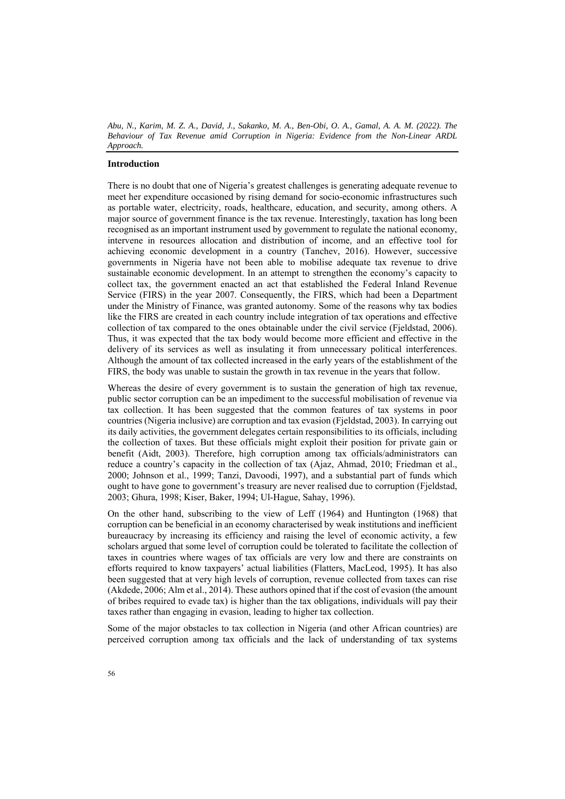# **Introduction**

There is no doubt that one of Nigeria's greatest challenges is generating adequate revenue to meet her expenditure occasioned by rising demand for socio-economic infrastructures such as portable water, electricity, roads, healthcare, education, and security, among others. A major source of government finance is the tax revenue. Interestingly, taxation has long been recognised as an important instrument used by government to regulate the national economy, intervene in resources allocation and distribution of income, and an effective tool for achieving economic development in a country (Tanchev, 2016). However, successive governments in Nigeria have not been able to mobilise adequate tax revenue to drive sustainable economic development. In an attempt to strengthen the economy's capacity to collect tax, the government enacted an act that established the Federal Inland Revenue Service (FIRS) in the year 2007. Consequently, the FIRS, which had been a Department under the Ministry of Finance, was granted autonomy. Some of the reasons why tax bodies like the FIRS are created in each country include integration of tax operations and effective collection of tax compared to the ones obtainable under the civil service (Fjeldstad, 2006). Thus, it was expected that the tax body would become more efficient and effective in the delivery of its services as well as insulating it from unnecessary political interferences. Although the amount of tax collected increased in the early years of the establishment of the FIRS, the body was unable to sustain the growth in tax revenue in the years that follow.

Whereas the desire of every government is to sustain the generation of high tax revenue, public sector corruption can be an impediment to the successful mobilisation of revenue via tax collection. It has been suggested that the common features of tax systems in poor countries (Nigeria inclusive) are corruption and tax evasion (Fjeldstad, 2003). In carrying out its daily activities, the government delegates certain responsibilities to its officials, including the collection of taxes. But these officials might exploit their position for private gain or benefit (Aidt, 2003). Therefore, high corruption among tax officials/administrators can reduce a country's capacity in the collection of tax (Ajaz, Ahmad, 2010; Friedman et al., 2000; Johnson et al., 1999; Tanzi, Davoodi, 1997), and a substantial part of funds which ought to have gone to government's treasury are never realised due to corruption (Fjeldstad, 2003; Ghura, 1998; Kiser, Baker, 1994; Ul-Hague, Sahay, 1996).

On the other hand, subscribing to the view of Leff (1964) and Huntington (1968) that corruption can be beneficial in an economy characterised by weak institutions and inefficient bureaucracy by increasing its efficiency and raising the level of economic activity, a few scholars argued that some level of corruption could be tolerated to facilitate the collection of taxes in countries where wages of tax officials are very low and there are constraints on efforts required to know taxpayers' actual liabilities (Flatters, MacLeod, 1995). It has also been suggested that at very high levels of corruption, revenue collected from taxes can rise (Akdede, 2006; Alm et al., 2014). These authors opined that if the cost of evasion (the amount of bribes required to evade tax) is higher than the tax obligations, individuals will pay their taxes rather than engaging in evasion, leading to higher tax collection.

Some of the major obstacles to tax collection in Nigeria (and other African countries) are perceived corruption among tax officials and the lack of understanding of tax systems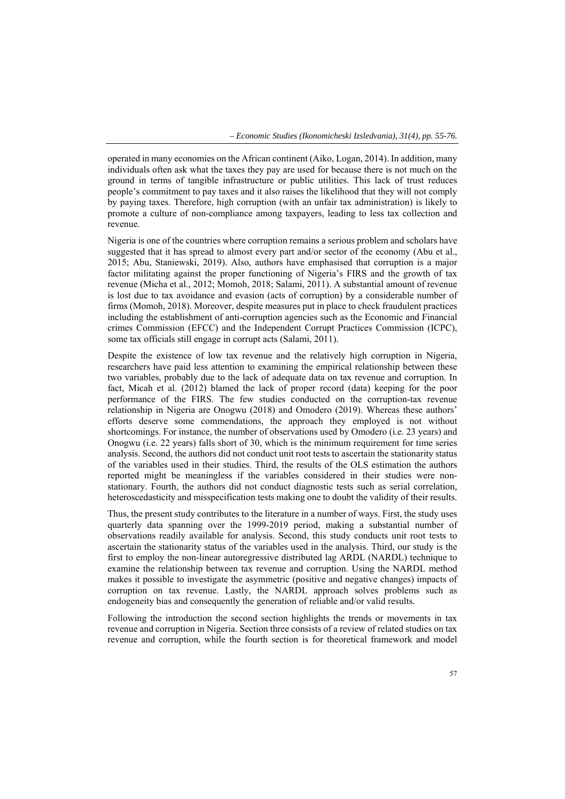operated in many economies on the African continent (Aiko, Logan, 2014). In addition, many individuals often ask what the taxes they pay are used for because there is not much on the ground in terms of tangible infrastructure or public utilities. This lack of trust reduces people's commitment to pay taxes and it also raises the likelihood that they will not comply by paying taxes. Therefore, high corruption (with an unfair tax administration) is likely to promote a culture of non-compliance among taxpayers, leading to less tax collection and revenue.

Nigeria is one of the countries where corruption remains a serious problem and scholars have suggested that it has spread to almost every part and/or sector of the economy (Abu et al., 2015; Abu, Staniewski, 2019). Also, authors have emphasised that corruption is a major factor militating against the proper functioning of Nigeria's FIRS and the growth of tax revenue (Micha et al., 2012; Momoh, 2018; Salami, 2011). A substantial amount of revenue is lost due to tax avoidance and evasion (acts of corruption) by a considerable number of firms (Momoh, 2018). Moreover, despite measures put in place to check fraudulent practices including the establishment of anti-corruption agencies such as the Economic and Financial crimes Commission (EFCC) and the Independent Corrupt Practices Commission (ICPC), some tax officials still engage in corrupt acts (Salami, 2011).

Despite the existence of low tax revenue and the relatively high corruption in Nigeria, researchers have paid less attention to examining the empirical relationship between these two variables, probably due to the lack of adequate data on tax revenue and corruption. In fact, Micah et al. (2012) blamed the lack of proper record (data) keeping for the poor performance of the FIRS. The few studies conducted on the corruption-tax revenue relationship in Nigeria are Onogwu (2018) and Omodero (2019). Whereas these authors' efforts deserve some commendations, the approach they employed is not without shortcomings. For instance, the number of observations used by Omodero (i.e. 23 years) and Onogwu (i.e. 22 years) falls short of 30, which is the minimum requirement for time series analysis. Second, the authors did not conduct unit root tests to ascertain the stationarity status of the variables used in their studies. Third, the results of the OLS estimation the authors reported might be meaningless if the variables considered in their studies were nonstationary. Fourth, the authors did not conduct diagnostic tests such as serial correlation, heteroscedasticity and misspecification tests making one to doubt the validity of their results.

Thus, the present study contributes to the literature in a number of ways. First, the study uses quarterly data spanning over the 1999-2019 period, making a substantial number of observations readily available for analysis. Second, this study conducts unit root tests to ascertain the stationarity status of the variables used in the analysis. Third, our study is the first to employ the non-linear autoregressive distributed lag ARDL (NARDL) technique to examine the relationship between tax revenue and corruption. Using the NARDL method makes it possible to investigate the asymmetric (positive and negative changes) impacts of corruption on tax revenue. Lastly, the NARDL approach solves problems such as endogeneity bias and consequently the generation of reliable and/or valid results.

Following the introduction the second section highlights the trends or movements in tax revenue and corruption in Nigeria. Section three consists of a review of related studies on tax revenue and corruption, while the fourth section is for theoretical framework and model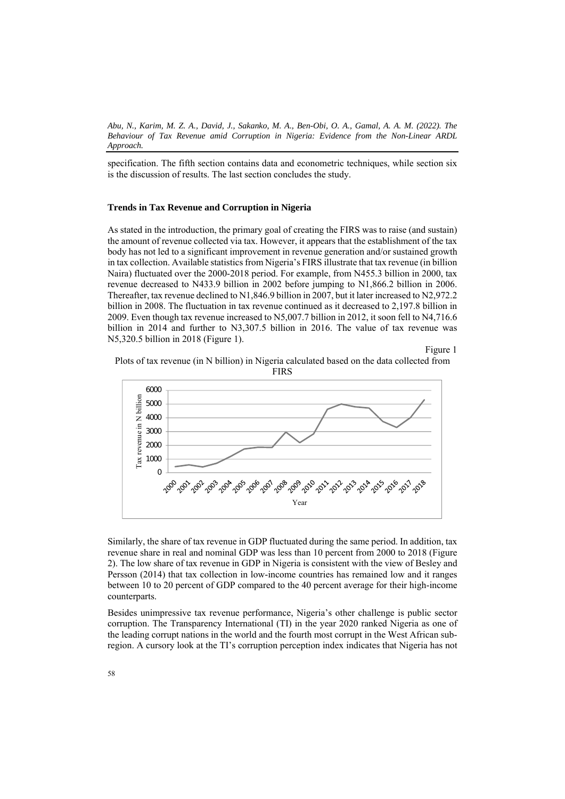specification. The fifth section contains data and econometric techniques, while section six is the discussion of results. The last section concludes the study.

## **Trends in Tax Revenue and Corruption in Nigeria**

As stated in the introduction, the primary goal of creating the FIRS was to raise (and sustain) the amount of revenue collected via tax. However, it appears that the establishment of the tax body has not led to a significant improvement in revenue generation and/or sustained growth in tax collection. Available statistics from Nigeria's FIRS illustrate that tax revenue (in billion Naira) fluctuated over the 2000-2018 period. For example, from N455.3 billion in 2000, tax revenue decreased to N433.9 billion in 2002 before jumping to N1,866.2 billion in 2006. Thereafter, tax revenue declined to N1,846.9 billion in 2007, but it later increased to N2,972.2 billion in 2008. The fluctuation in tax revenue continued as it decreased to 2,197.8 billion in 2009. Even though tax revenue increased to N5,007.7 billion in 2012, it soon fell to N4,716.6 billion in 2014 and further to N3,307.5 billion in 2016. The value of tax revenue was N5,320.5 billion in 2018 (Figure 1).

Figure 1





Similarly, the share of tax revenue in GDP fluctuated during the same period. In addition, tax revenue share in real and nominal GDP was less than 10 percent from 2000 to 2018 (Figure 2). The low share of tax revenue in GDP in Nigeria is consistent with the view of Besley and Persson (2014) that tax collection in low-income countries has remained low and it ranges between 10 to 20 percent of GDP compared to the 40 percent average for their high-income counterparts.

Besides unimpressive tax revenue performance, Nigeria's other challenge is public sector corruption. The Transparency International (TI) in the year 2020 ranked Nigeria as one of the leading corrupt nations in the world and the fourth most corrupt in the West African subregion. A cursory look at the TI's corruption perception index indicates that Nigeria has not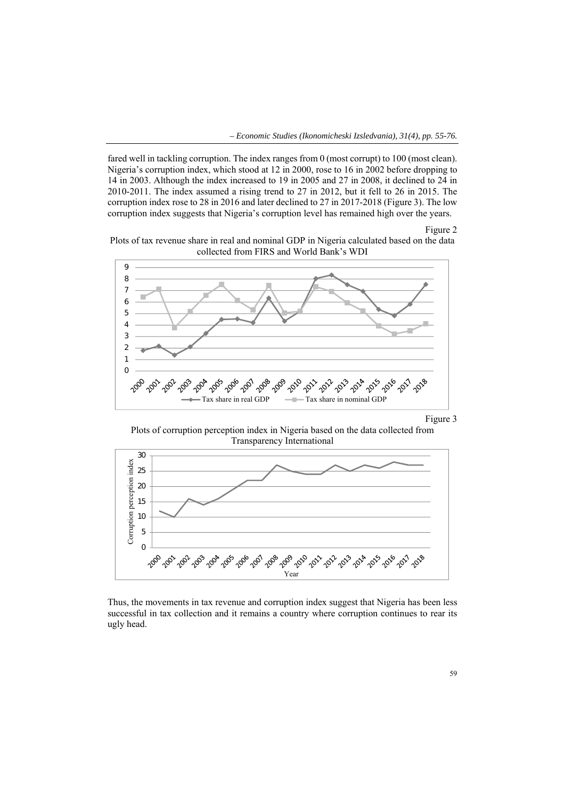*– Economic Studies (Ikonomicheski Izsledvania), 31(4), pp. 55-76.* 

fared well in tackling corruption. The index ranges from 0 (most corrupt) to 100 (most clean). Nigeria's corruption index, which stood at 12 in 2000, rose to 16 in 2002 before dropping to 14 in 2003. Although the index increased to 19 in 2005 and 27 in 2008, it declined to 24 in 2010-2011. The index assumed a rising trend to 27 in 2012, but it fell to 26 in 2015. The corruption index rose to 28 in 2016 and later declined to 27 in 2017-2018 (Figure 3). The low corruption index suggests that Nigeria's corruption level has remained high over the years.

Figure 2





## Figure 3

Plots of corruption perception index in Nigeria based on the data collected from Transparency International



Thus, the movements in tax revenue and corruption index suggest that Nigeria has been less successful in tax collection and it remains a country where corruption continues to rear its ugly head.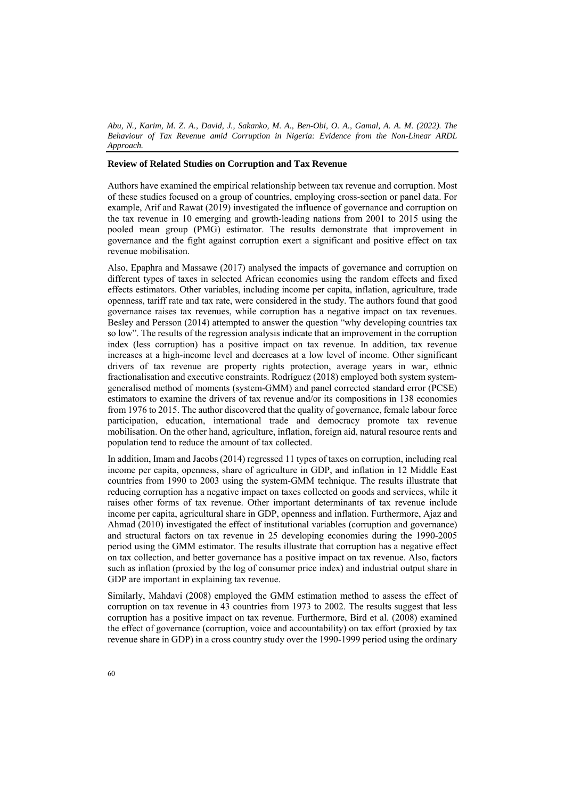# **Review of Related Studies on Corruption and Tax Revenue**

Authors have examined the empirical relationship between tax revenue and corruption. Most of these studies focused on a group of countries, employing cross-section or panel data. For example, Arif and Rawat (2019) investigated the influence of governance and corruption on the tax revenue in 10 emerging and growth-leading nations from 2001 to 2015 using the pooled mean group (PMG) estimator. The results demonstrate that improvement in governance and the fight against corruption exert a significant and positive effect on tax revenue mobilisation.

Also, Epaphra and Massawe (2017) analysed the impacts of governance and corruption on different types of taxes in selected African economies using the random effects and fixed effects estimators. Other variables, including income per capita, inflation, agriculture, trade openness, tariff rate and tax rate, were considered in the study. The authors found that good governance raises tax revenues, while corruption has a negative impact on tax revenues. Besley and Persson (2014) attempted to answer the question "why developing countries tax so low". The results of the regression analysis indicate that an improvement in the corruption index (less corruption) has a positive impact on tax revenue. In addition, tax revenue increases at a high-income level and decreases at a low level of income. Other significant drivers of tax revenue are property rights protection, average years in war, ethnic fractionalisation and executive constraints. Rodríguez (2018) employed both system systemgeneralised method of moments (system-GMM) and panel corrected standard error (PCSE) estimators to examine the drivers of tax revenue and/or its compositions in 138 economies from 1976 to 2015. The author discovered that the quality of governance, female labour force participation, education, international trade and democracy promote tax revenue mobilisation. On the other hand, agriculture, inflation, foreign aid, natural resource rents and population tend to reduce the amount of tax collected.

In addition, Imam and Jacobs (2014) regressed 11 types of taxes on corruption, including real income per capita, openness, share of agriculture in GDP, and inflation in 12 Middle East countries from 1990 to 2003 using the system-GMM technique. The results illustrate that reducing corruption has a negative impact on taxes collected on goods and services, while it raises other forms of tax revenue. Other important determinants of tax revenue include income per capita, agricultural share in GDP, openness and inflation. Furthermore, Ajaz and Ahmad (2010) investigated the effect of institutional variables (corruption and governance) and structural factors on tax revenue in 25 developing economies during the 1990-2005 period using the GMM estimator. The results illustrate that corruption has a negative effect on tax collection, and better governance has a positive impact on tax revenue. Also, factors such as inflation (proxied by the log of consumer price index) and industrial output share in GDP are important in explaining tax revenue.

Similarly, Mahdavi (2008) employed the GMM estimation method to assess the effect of corruption on tax revenue in 43 countries from 1973 to 2002. The results suggest that less corruption has a positive impact on tax revenue. Furthermore, Bird et al. (2008) examined the effect of governance (corruption, voice and accountability) on tax effort (proxied by tax revenue share in GDP) in a cross country study over the 1990-1999 period using the ordinary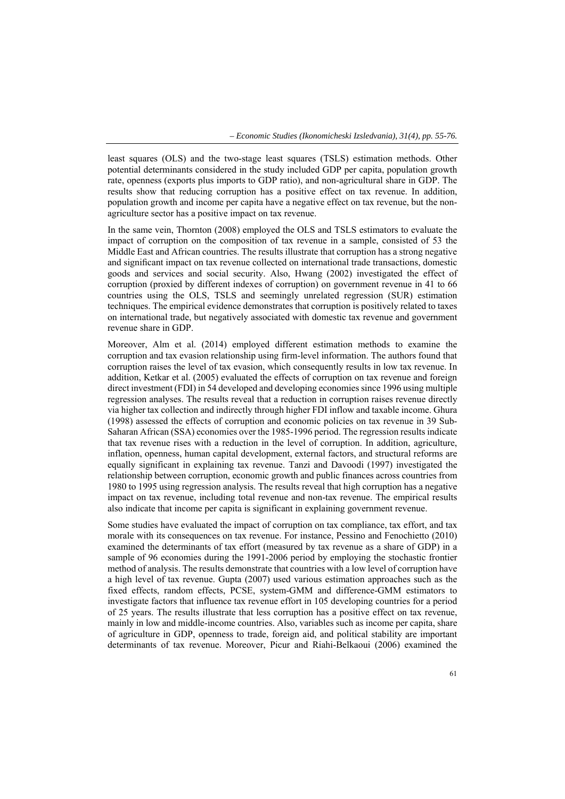least squares (OLS) and the two-stage least squares (TSLS) estimation methods. Other potential determinants considered in the study included GDP per capita, population growth rate, openness (exports plus imports to GDP ratio), and non-agricultural share in GDP. The results show that reducing corruption has a positive effect on tax revenue. In addition, population growth and income per capita have a negative effect on tax revenue, but the nonagriculture sector has a positive impact on tax revenue.

In the same vein, Thornton (2008) employed the OLS and TSLS estimators to evaluate the impact of corruption on the composition of tax revenue in a sample, consisted of 53 the Middle East and African countries. The results illustrate that corruption has a strong negative and significant impact on tax revenue collected on international trade transactions, domestic goods and services and social security. Also, Hwang (2002) investigated the effect of corruption (proxied by different indexes of corruption) on government revenue in 41 to 66 countries using the OLS, TSLS and seemingly unrelated regression (SUR) estimation techniques. The empirical evidence demonstrates that corruption is positively related to taxes on international trade, but negatively associated with domestic tax revenue and government revenue share in GDP.

Moreover, Alm et al. (2014) employed different estimation methods to examine the corruption and tax evasion relationship using firm-level information. The authors found that corruption raises the level of tax evasion, which consequently results in low tax revenue. In addition, Ketkar et al. (2005) evaluated the effects of corruption on tax revenue and foreign direct investment (FDI) in 54 developed and developing economies since 1996 using multiple regression analyses. The results reveal that a reduction in corruption raises revenue directly via higher tax collection and indirectly through higher FDI inflow and taxable income. Ghura (1998) assessed the effects of corruption and economic policies on tax revenue in 39 Sub-Saharan African (SSA) economies over the 1985-1996 period. The regression results indicate that tax revenue rises with a reduction in the level of corruption. In addition, agriculture, inflation, openness, human capital development, external factors, and structural reforms are equally significant in explaining tax revenue. Tanzi and Davoodi (1997) investigated the relationship between corruption, economic growth and public finances across countries from 1980 to 1995 using regression analysis. The results reveal that high corruption has a negative impact on tax revenue, including total revenue and non-tax revenue. The empirical results also indicate that income per capita is significant in explaining government revenue.

Some studies have evaluated the impact of corruption on tax compliance, tax effort, and tax morale with its consequences on tax revenue. For instance, Pessino and Fenochietto (2010) examined the determinants of tax effort (measured by tax revenue as a share of GDP) in a sample of 96 economies during the 1991-2006 period by employing the stochastic frontier method of analysis. The results demonstrate that countries with a low level of corruption have a high level of tax revenue. Gupta (2007) used various estimation approaches such as the fixed effects, random effects, PCSE, system-GMM and difference-GMM estimators to investigate factors that influence tax revenue effort in 105 developing countries for a period of 25 years. The results illustrate that less corruption has a positive effect on tax revenue, mainly in low and middle-income countries. Also, variables such as income per capita, share of agriculture in GDP, openness to trade, foreign aid, and political stability are important determinants of tax revenue. Moreover, Picur and Riahi‐Belkaoui (2006) examined the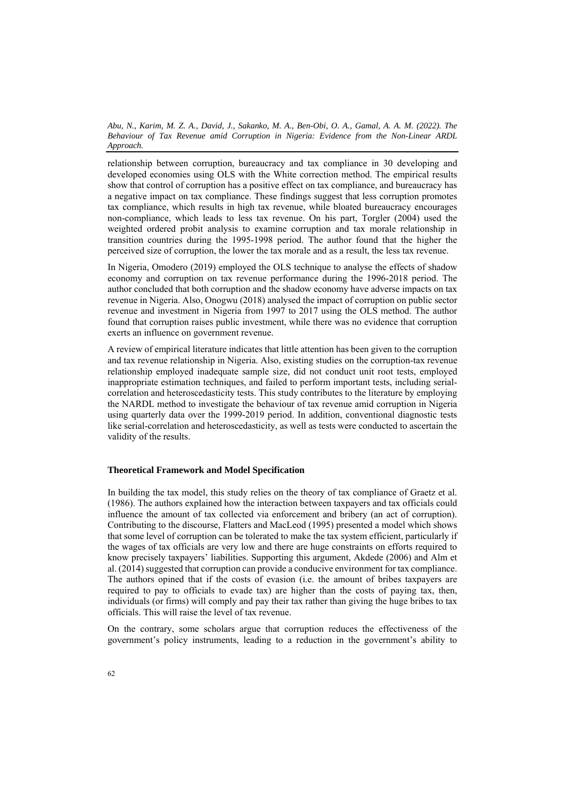relationship between corruption, bureaucracy and tax compliance in 30 developing and developed economies using OLS with the White correction method. The empirical results show that control of corruption has a positive effect on tax compliance, and bureaucracy has a negative impact on tax compliance. These findings suggest that less corruption promotes tax compliance, which results in high tax revenue, while bloated bureaucracy encourages non-compliance, which leads to less tax revenue. On his part, Torgler (2004) used the weighted ordered probit analysis to examine corruption and tax morale relationship in transition countries during the 1995-1998 period. The author found that the higher the perceived size of corruption, the lower the tax morale and as a result, the less tax revenue.

In Nigeria, Omodero (2019) employed the OLS technique to analyse the effects of shadow economy and corruption on tax revenue performance during the 1996-2018 period. The author concluded that both corruption and the shadow economy have adverse impacts on tax revenue in Nigeria. Also, Onogwu (2018) analysed the impact of corruption on public sector revenue and investment in Nigeria from 1997 to 2017 using the OLS method. The author found that corruption raises public investment, while there was no evidence that corruption exerts an influence on government revenue.

A review of empirical literature indicates that little attention has been given to the corruption and tax revenue relationship in Nigeria. Also, existing studies on the corruption-tax revenue relationship employed inadequate sample size, did not conduct unit root tests, employed inappropriate estimation techniques, and failed to perform important tests, including serialcorrelation and heteroscedasticity tests. This study contributes to the literature by employing the NARDL method to investigate the behaviour of tax revenue amid corruption in Nigeria using quarterly data over the 1999-2019 period. In addition, conventional diagnostic tests like serial-correlation and heteroscedasticity, as well as tests were conducted to ascertain the validity of the results.

## **Theoretical Framework and Model Specification**

In building the tax model, this study relies on the theory of tax compliance of Graetz et al. (1986). The authors explained how the interaction between taxpayers and tax officials could influence the amount of tax collected via enforcement and bribery (an act of corruption). Contributing to the discourse, Flatters and MacLeod (1995) presented a model which shows that some level of corruption can be tolerated to make the tax system efficient, particularly if the wages of tax officials are very low and there are huge constraints on efforts required to know precisely taxpayers' liabilities. Supporting this argument, Akdede (2006) and Alm et al. (2014) suggested that corruption can provide a conducive environment for tax compliance. The authors opined that if the costs of evasion (i.e. the amount of bribes taxpayers are required to pay to officials to evade tax) are higher than the costs of paying tax, then, individuals (or firms) will comply and pay their tax rather than giving the huge bribes to tax officials. This will raise the level of tax revenue.

On the contrary, some scholars argue that corruption reduces the effectiveness of the government's policy instruments, leading to a reduction in the government's ability to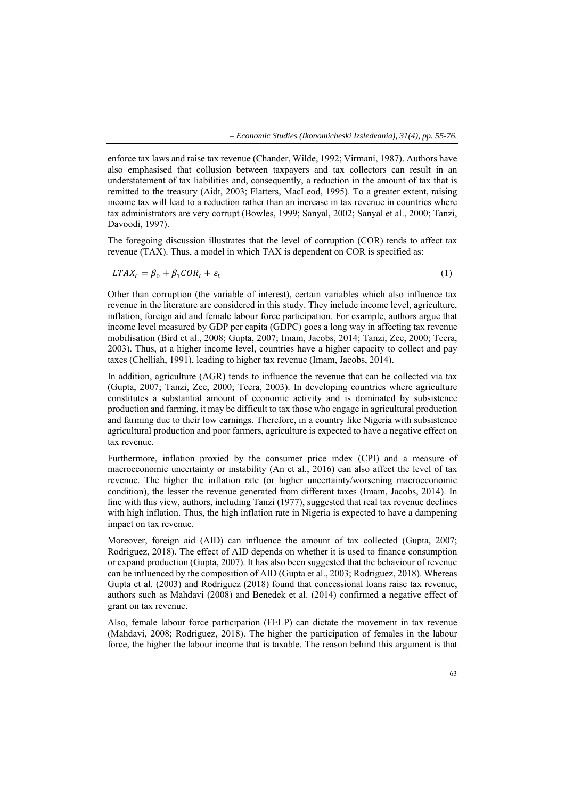enforce tax laws and raise tax revenue (Chander, Wilde, 1992; Virmani, 1987). Authors have also emphasised that collusion between taxpayers and tax collectors can result in an understatement of tax liabilities and, consequently, a reduction in the amount of tax that is remitted to the treasury (Aidt, 2003; Flatters, MacLeod, 1995). To a greater extent, raising income tax will lead to a reduction rather than an increase in tax revenue in countries where tax administrators are very corrupt (Bowles, 1999; Sanyal, 2002; Sanyal et al., 2000; Tanzi, Davoodi, 1997).

The foregoing discussion illustrates that the level of corruption (COR) tends to affect tax revenue (TAX). Thus, a model in which TAX is dependent on COR is specified as:

$$
LTAX_t = \beta_0 + \beta_1 COR_t + \varepsilon_t \tag{1}
$$

Other than corruption (the variable of interest), certain variables which also influence tax revenue in the literature are considered in this study. They include income level, agriculture, inflation, foreign aid and female labour force participation. For example, authors argue that income level measured by GDP per capita (GDPC) goes a long way in affecting tax revenue mobilisation (Bird et al., 2008; Gupta, 2007; Imam, Jacobs, 2014; Tanzi, Zee, 2000; Teera, 2003). Thus, at a higher income level, countries have a higher capacity to collect and pay taxes (Chelliah, 1991), leading to higher tax revenue (Imam, Jacobs, 2014).

In addition, agriculture (AGR) tends to influence the revenue that can be collected via tax (Gupta, 2007; Tanzi, Zee, 2000; Teera, 2003). In developing countries where agriculture constitutes a substantial amount of economic activity and is dominated by subsistence production and farming, it may be difficult to tax those who engage in agricultural production and farming due to their low earnings. Therefore, in a country like Nigeria with subsistence agricultural production and poor farmers, agriculture is expected to have a negative effect on tax revenue.

Furthermore, inflation proxied by the consumer price index (CPI) and a measure of macroeconomic uncertainty or instability (An et al., 2016) can also affect the level of tax revenue. The higher the inflation rate (or higher uncertainty/worsening macroeconomic condition), the lesser the revenue generated from different taxes (Imam, Jacobs, 2014). In line with this view, authors, including Tanzi (1977), suggested that real tax revenue declines with high inflation. Thus, the high inflation rate in Nigeria is expected to have a dampening impact on tax revenue.

Moreover, foreign aid (AID) can influence the amount of tax collected (Gupta, 2007; Rodriguez, 2018). The effect of AID depends on whether it is used to finance consumption or expand production (Gupta, 2007). It has also been suggested that the behaviour of revenue can be influenced by the composition of AID (Gupta et al., 2003; Rodriguez, 2018). Whereas Gupta et al. (2003) and Rodriguez (2018) found that concessional loans raise tax revenue, authors such as Mahdavi (2008) and Benedek et al. (2014) confirmed a negative effect of grant on tax revenue.

Also, female labour force participation (FELP) can dictate the movement in tax revenue (Mahdavi, 2008; Rodriguez, 2018). The higher the participation of females in the labour force, the higher the labour income that is taxable. The reason behind this argument is that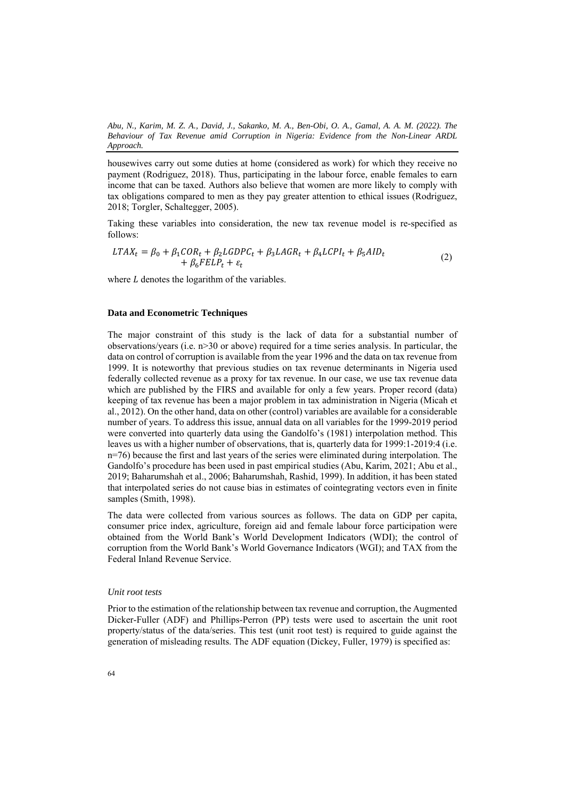housewives carry out some duties at home (considered as work) for which they receive no payment (Rodriguez, 2018). Thus, participating in the labour force, enable females to earn income that can be taxed. Authors also believe that women are more likely to comply with tax obligations compared to men as they pay greater attention to ethical issues (Rodriguez, 2018; Torgler, Schaltegger, 2005).

Taking these variables into consideration, the new tax revenue model is re-specified as follows:

$$
LTAX_t = \beta_0 + \beta_1 COR_t + \beta_2 LGDPC_t + \beta_3 LAGR_t + \beta_4 LCPI_t + \beta_5 AID_t + \beta_6 FELP_t + \varepsilon_t
$$
\n(2)

where  $L$  denotes the logarithm of the variables.

## **Data and Econometric Techniques**

The major constraint of this study is the lack of data for a substantial number of observations/years (i.e. n>30 or above) required for a time series analysis. In particular, the data on control of corruption is available from the year 1996 and the data on tax revenue from 1999. It is noteworthy that previous studies on tax revenue determinants in Nigeria used federally collected revenue as a proxy for tax revenue. In our case, we use tax revenue data which are published by the FIRS and available for only a few years. Proper record (data) keeping of tax revenue has been a major problem in tax administration in Nigeria (Micah et al., 2012). On the other hand, data on other (control) variables are available for a considerable number of years. To address this issue, annual data on all variables for the 1999-2019 period were converted into quarterly data using the Gandolfo's (1981) interpolation method. This leaves us with a higher number of observations, that is, quarterly data for 1999:1-2019:4 (i.e. n=76) because the first and last years of the series were eliminated during interpolation. The Gandolfo's procedure has been used in past empirical studies (Abu, Karim, 2021; Abu et al., 2019; Baharumshah et al., 2006; Baharumshah, Rashid, 1999). In addition, it has been stated that interpolated series do not cause bias in estimates of cointegrating vectors even in finite samples (Smith, 1998).

The data were collected from various sources as follows. The data on GDP per capita, consumer price index, agriculture, foreign aid and female labour force participation were obtained from the World Bank's World Development Indicators (WDI); the control of corruption from the World Bank's World Governance Indicators (WGI); and TAX from the Federal Inland Revenue Service.

## *Unit root tests*

Prior to the estimation of the relationship between tax revenue and corruption, the Augmented Dicker-Fuller (ADF) and Phillips-Perron (PP) tests were used to ascertain the unit root property/status of the data/series. This test (unit root test) is required to guide against the generation of misleading results. The ADF equation (Dickey, Fuller, 1979) is specified as: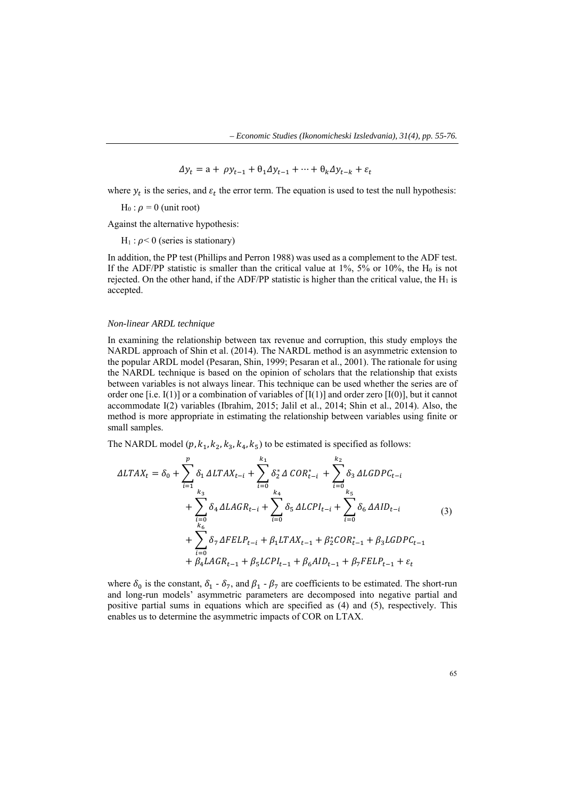$$
\Delta y_t = a + \rho y_{t-1} + \theta_1 \Delta y_{t-1} + \dots + \theta_k \Delta y_{t-k} + \varepsilon_t
$$

where  $y_t$  is the series, and  $\varepsilon_t$  the error term. The equation is used to test the null hypothesis:

 $H_0$ :  $\rho = 0$  (unit root)

Against the alternative hypothesis:

 $H_1$ :  $\rho$ < 0 (series is stationary)

In addition, the PP test (Phillips and Perron 1988) was used as a complement to the ADF test. If the ADF/PP statistic is smaller than the critical value at  $1\%$ ,  $5\%$  or  $10\%$ , the H<sub>0</sub> is not rejected. On the other hand, if the ADF/PP statistic is higher than the critical value, the  $H_1$  is accepted.

#### *Non-linear ARDL technique*

In examining the relationship between tax revenue and corruption, this study employs the NARDL approach of Shin et al. (2014). The NARDL method is an asymmetric extension to the popular ARDL model (Pesaran, Shin, 1999; Pesaran et al., 2001). The rationale for using the NARDL technique is based on the opinion of scholars that the relationship that exists between variables is not always linear. This technique can be used whether the series are of order one [i.e. I(1)] or a combination of variables of  $[I(1)]$  and order zero  $[I(0)]$ , but it cannot accommodate I(2) variables (Ibrahim, 2015; Jalil et al., 2014; Shin et al., 2014). Also, the method is more appropriate in estimating the relationship between variables using finite or small samples.

The NARDL model  $(p, k_1, k_2, k_3, k_4, k_5)$  to be estimated is specified as follows:

$$
\Delta LTAX_{t} = \delta_{0} + \sum_{i=1}^{p} \delta_{1} \Delta LTAX_{t-i} + \sum_{i=0}^{k_{1}} \delta_{2}^{*} \Delta COR_{t-i}^{*} + \sum_{i=0}^{k_{2}} \delta_{3} \Delta LGDPC_{t-i} + \sum_{i=0}^{k_{3}} \delta_{4} \Delta LAGR_{t-i} + \sum_{i=0}^{k_{4}} \delta_{5} \Delta LCPI_{t-i} + \sum_{i=0}^{k_{5}} \delta_{6} \Delta AID_{t-i} + \sum_{i=0}^{k_{6}} \delta_{7} \Delta FELP_{t-i} + \beta_{1} LTAX_{t-1} + \beta_{2}^{*} COR_{t-1}^{*} + \beta_{3} LGDPC_{t-1} + \beta_{4} LAGR_{t-1} + \beta_{5} LCPI_{t-1} + \beta_{6} AID_{t-1} + \beta_{7} FELP_{t-1} + \varepsilon_{t}
$$
\n(3)

where  $\delta_0$  is the constant,  $\delta_1$  -  $\delta_7$ , and  $\beta_1$  -  $\beta_7$  are coefficients to be estimated. The short-run and long-run models' asymmetric parameters are decomposed into negative partial and positive partial sums in equations which are specified as (4) and (5), respectively. This enables us to determine the asymmetric impacts of COR on LTAX.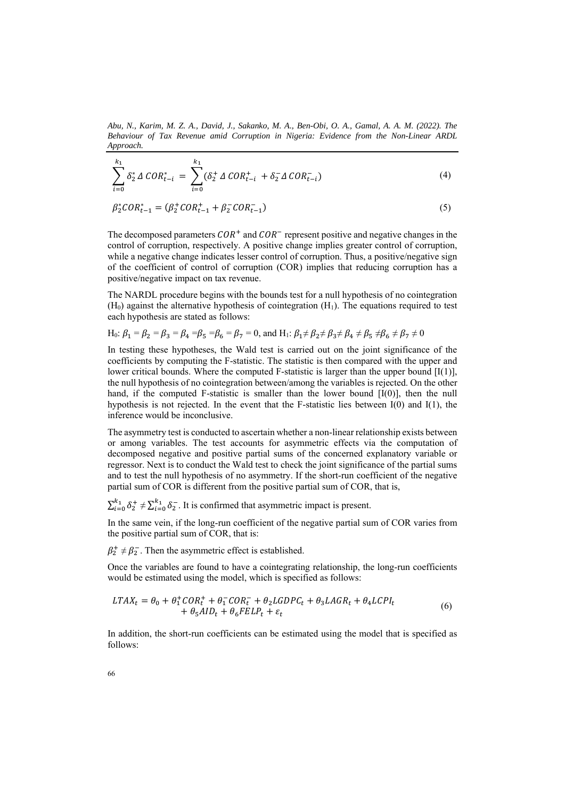*Abu, N., Karim, M. Z. A., David, J., Sakanko, M. A., Ben-Obi, O. A., Gamal, A. A. M. (2022). The Behaviour of Tax Revenue amid Corruption in Nigeria: Evidence from the Non-Linear ARDL Approach.* 

$$
\sum_{i=0}^{k_1} \delta_2^* \Delta \text{COR}_{t-i}^* = \sum_{i=0}^{k_1} (\delta_2^* \Delta \text{COR}_{t-i}^+ + \delta_2^- \Delta \text{COR}_{t-i}^-)
$$
\n(4)

$$
\beta_2^*COR_{t-1}^* = (\beta_2^*COR_{t-1}^* + \beta_2^-COR_{t-1}^-)
$$
\n(5)

The decomposed parameters  $COR<sup>+</sup>$  and  $COR<sup>-</sup>$  represent positive and negative changes in the control of corruption, respectively. A positive change implies greater control of corruption, while a negative change indicates lesser control of corruption. Thus, a positive/negative sign of the coefficient of control of corruption (COR) implies that reducing corruption has a positive/negative impact on tax revenue.

The NARDL procedure begins with the bounds test for a null hypothesis of no cointegration  $(H<sub>0</sub>)$  against the alternative hypothesis of cointegration  $(H<sub>1</sub>)$ . The equations required to test each hypothesis are stated as follows:

H<sub>0</sub>: 
$$
\beta_1 = \beta_2 = \beta_3 = \beta_4 = \beta_5 = \beta_6 = \beta_7 = 0
$$
, and H<sub>1</sub>:  $\beta_1 \neq \beta_2 \neq \beta_3 \neq \beta_4 \neq \beta_5 \neq \beta_6 \neq \beta_7 \neq 0$ 

In testing these hypotheses, the Wald test is carried out on the joint significance of the coefficients by computing the F-statistic. The statistic is then compared with the upper and lower critical bounds. Where the computed F-statistic is larger than the upper bound  $[I(1)]$ , the null hypothesis of no cointegration between/among the variables is rejected. On the other hand, if the computed F-statistic is smaller than the lower bound  $[I(0)]$ , then the null hypothesis is not rejected. In the event that the F-statistic lies between  $I(0)$  and  $I(1)$ , the inference would be inconclusive.

The asymmetry test is conducted to ascertain whether a non-linear relationship exists between or among variables. The test accounts for asymmetric effects via the computation of decomposed negative and positive partial sums of the concerned explanatory variable or regressor. Next is to conduct the Wald test to check the joint significance of the partial sums and to test the null hypothesis of no asymmetry. If the short-run coefficient of the negative partial sum of COR is different from the positive partial sum of COR, that is,

 $\sum_{i=0}^{k_1} \delta_2^+ \neq \sum_{i=0}^{k_1} \delta_2^-$ . It is confirmed that asymmetric impact is present.

In the same vein, if the long-run coefficient of the negative partial sum of COR varies from the positive partial sum of COR, that is:

 $\beta_2^+ \neq \beta_2^-$ . Then the asymmetric effect is established.

Once the variables are found to have a cointegrating relationship, the long-run coefficients would be estimated using the model, which is specified as follows:

$$
LTAX_t = \theta_0 + \theta_1^+COR_t^+ + \theta_1^-COR_t^- + \theta_2LGDPC_t + \theta_3LAGR_t + \theta_4LCPI_t
$$
  
+ 
$$
\theta_5AID_t + \theta_6FELP_t + \varepsilon_t
$$
 (6)

In addition, the short-run coefficients can be estimated using the model that is specified as follows: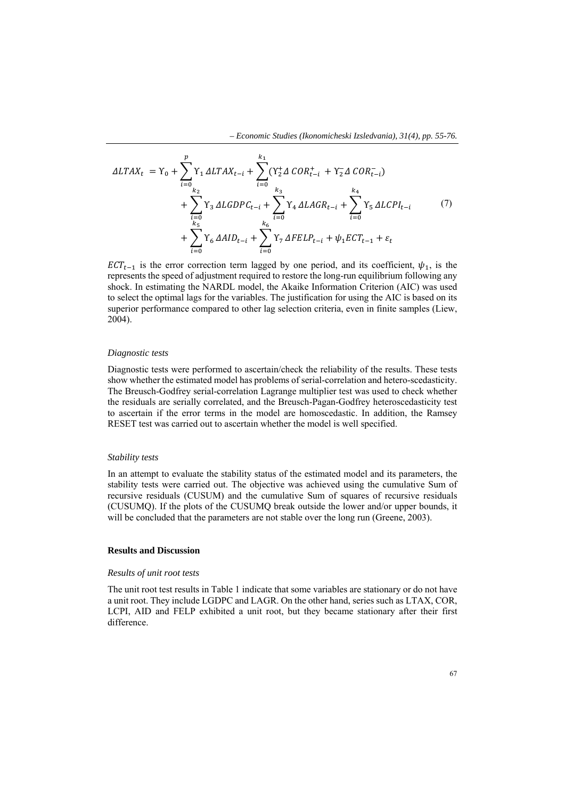$$
\Delta LTAX_{t} = \Upsilon_{0} + \sum_{i=0}^{p} \Upsilon_{1} \Delta LTAX_{t-i} + \sum_{i=0}^{k_{1}} (\Upsilon_{2}^{+}\Delta \text{ COR}_{t-i}^{+} + \Upsilon_{2}^{-}\Delta \text{ COR}_{t-i}^{-}) + \sum_{i=0}^{k_{2}} \Upsilon_{3} \Delta LGDPC_{t-i} + \sum_{i=0}^{k_{3}} \Upsilon_{4} \Delta LAGR_{t-i} + \sum_{i=0}^{k_{4}} \Upsilon_{5} \Delta LCPI_{t-i} + \sum_{i=0}^{k_{5}} \Upsilon_{6} \Delta AID_{t-i} + \sum_{i=0}^{k_{6}} \Upsilon_{7} \Delta FELP_{t-i} + \psi_{1} ECT_{t-1} + \varepsilon_{t}
$$
\n(7)

 $ECT_{t-1}$  is the error correction term lagged by one period, and its coefficient,  $\psi_1$ , is the represents the speed of adjustment required to restore the long-run equilibrium following any shock. In estimating the NARDL model, the Akaike Information Criterion (AIC) was used to select the optimal lags for the variables. The justification for using the AIC is based on its superior performance compared to other lag selection criteria, even in finite samples (Liew, 2004).

## *Diagnostic tests*

Diagnostic tests were performed to ascertain/check the reliability of the results. These tests show whether the estimated model has problems of serial-correlation and hetero-scedasticity. The Breusch-Godfrey serial-correlation Lagrange multiplier test was used to check whether the residuals are serially correlated, and the Breusch-Pagan-Godfrey heteroscedasticity test to ascertain if the error terms in the model are homoscedastic. In addition, the Ramsey RESET test was carried out to ascertain whether the model is well specified.

#### *Stability tests*

In an attempt to evaluate the stability status of the estimated model and its parameters, the stability tests were carried out. The objective was achieved using the cumulative Sum of recursive residuals (CUSUM) and the cumulative Sum of squares of recursive residuals (CUSUMQ). If the plots of the CUSUMQ break outside the lower and/or upper bounds, it will be concluded that the parameters are not stable over the long run (Greene, 2003).

## **Results and Discussion**

#### *Results of unit root tests*

The unit root test results in Table 1 indicate that some variables are stationary or do not have a unit root. They include LGDPC and LAGR. On the other hand, series such as LTAX, COR, LCPI, AID and FELP exhibited a unit root, but they became stationary after their first difference.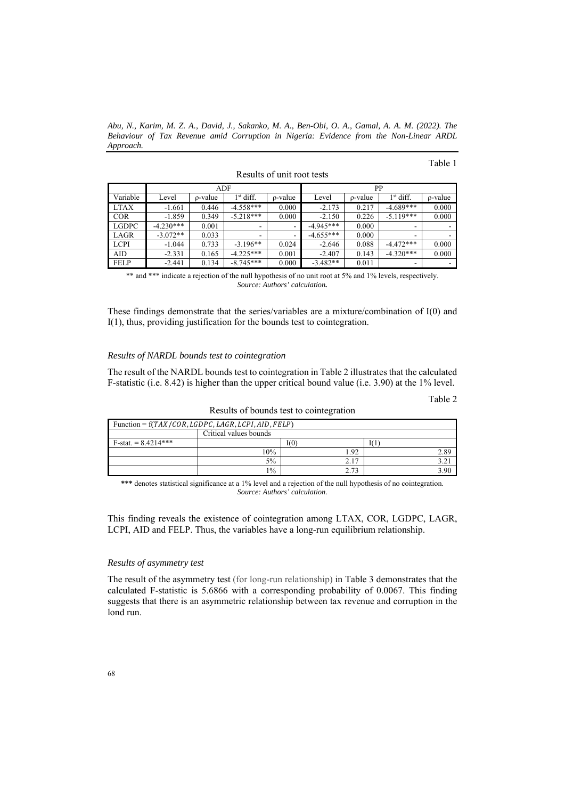*Abu, N., Karim, M. Z. A., David, J., Sakanko, M. A., Ben-Obi, O. A., Gamal, A. A. M. (2022). The Behaviour of Tax Revenue amid Corruption in Nigeria: Evidence from the Non-Linear ARDL Approach.* 

|              | ADF         |         |                          | PP                       |             |         |             |                          |
|--------------|-------------|---------|--------------------------|--------------------------|-------------|---------|-------------|--------------------------|
| Variable     | Level       | p-value | $1st$ diff.              | p-value                  | Level       | p-value | $1st$ diff. | p-value                  |
| <b>LTAX</b>  | $-1.661$    | 0.446   | $-4.558***$              | 0.000                    | $-2.173$    | 0.217   | $-4.689***$ | 0.000                    |
| <b>COR</b>   | $-1.859$    | 0.349   | $-5.218***$              | 0.000                    | $-2.150$    | 0.226   | $-5.119***$ | 0.000                    |
| <b>LGDPC</b> | $-4.230***$ | 0.001   | $\overline{\phantom{a}}$ | -                        | $-4.945***$ | 0.000   |             | $\overline{\phantom{a}}$ |
| LAGR         | $-3.072**$  | 0.033   |                          | $\overline{\phantom{a}}$ | $-4.655***$ | 0.000   |             |                          |
| <b>LCPI</b>  | $-1.044$    | 0.733   | $-3.196**$               | 0.024                    | $-2.646$    | 0.088   | $-4.472***$ | 0.000                    |
| AID          | $-2.331$    | 0.165   | $-4.225***$              | 0.001                    | $-2.407$    | 0.143   | $-4.320***$ | 0.000                    |
| <b>FELP</b>  | $-2.441$    | 0.134   | $-8.745***$              | 0.000                    | $-3.482**$  | 0.011   | -           |                          |

Results of unit root tests

\*\* and \*\*\* indicate a rejection of the null hypothesis of no unit root at 5% and 1% levels, respectively. *Source: Authors' calculation.* 

These findings demonstrate that the series/variables are a mixture/combination of I(0) and I(1), thus, providing justification for the bounds test to cointegration.

## *Results of NARDL bounds test to cointegration*

The result of the NARDL bounds test to cointegration in Table 2 illustrates that the calculated F-statistic (i.e. 8.42) is higher than the upper critical bound value (i.e. 3.90) at the 1% level.

| ∽ |
|---|
|---|

| Function = $f(TAX/COR, LGDPC, LAGR, LCPI, AID, FELP)$ |                        |           |      |  |
|-------------------------------------------------------|------------------------|-----------|------|--|
|                                                       | Critical values bounds |           |      |  |
| $F-stat. = 8.4214***$                                 |                        | 1(0)      |      |  |
|                                                       | 10%                    | l.92      | 2.89 |  |
|                                                       | $5\%$                  | 2.17      |      |  |
|                                                       | $1\%$                  | 272<br>۰, | 3.90 |  |

Results of bounds test to cointegration

**\*\*\*** denotes statistical significance at a 1% level and a rejection of the null hypothesis of no cointegration. *Source: Authors' calculation.* 

This finding reveals the existence of cointegration among LTAX, COR, LGDPC, LAGR, LCPI, AID and FELP. Thus, the variables have a long-run equilibrium relationship.

## *Results of asymmetry test*

The result of the asymmetry test (for long-run relationship) in Table 3 demonstrates that the calculated F-statistic is 5.6866 with a corresponding probability of 0.0067. This finding suggests that there is an asymmetric relationship between tax revenue and corruption in the lond run.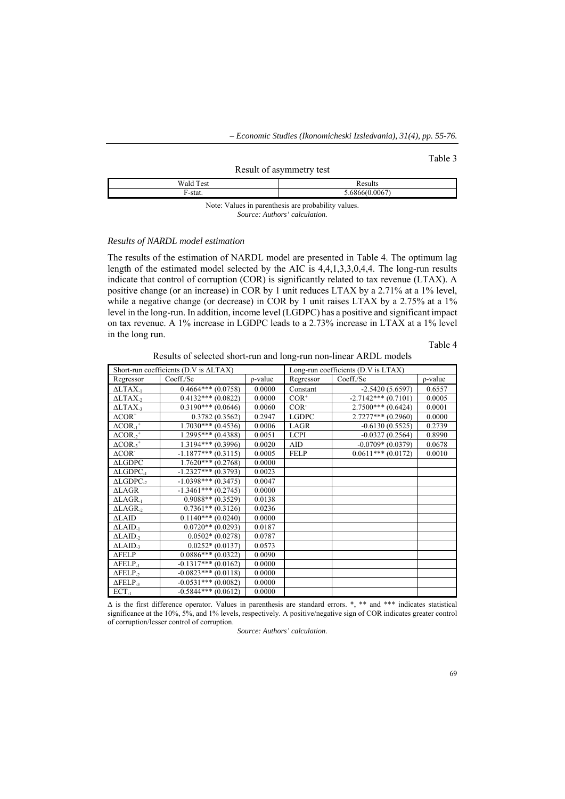#### Table 3

#### Result of asymmetry test

|             | <b>Sec.</b> |
|-------------|-------------|
| $\alpha$ to | ۔ ـ         |
|             |             |

Note: Values in parenthesis are probability values. *Source: Authors' calculation.* 

## *Results of NARDL model estimation*

The results of the estimation of NARDL model are presented in Table 4. The optimum lag length of the estimated model selected by the AIC is 4,4,1,3,3,0,4,4. The long-run results indicate that control of corruption (COR) is significantly related to tax revenue (LTAX). A positive change (or an increase) in COR by 1 unit reduces LTAX by a 2.71% at a 1% level, while a negative change (or decrease) in COR by 1 unit raises LTAX by a 2.75% at a 1% level in the long-run. In addition, income level (LGDPC) has a positive and significant impact on tax revenue. A 1% increase in LGDPC leads to a 2.73% increase in LTAX at a 1% level in the long run.

Table 4

Results of selected short-run and long-run non-linear ARDL models

|                                | Short-run coefficients ( $D.V$ is $\triangle LTAX$ ) |               |              | Long-run coefficients (D.V is LTAX) |               |
|--------------------------------|------------------------------------------------------|---------------|--------------|-------------------------------------|---------------|
| Regressor                      | Coeff./Se                                            | $\rho$ -value | Regressor    | Coeff./Se                           | $\rho$ -value |
| $\triangle LTAX_{-1}$          | $0.4664***(0.0758)$                                  | 0.0000        | Constant     | $-2.5420(5.6597)$                   | 0.6557        |
| $\triangle LTAX$ <sub>22</sub> | $0.4132***(0.0822)$                                  | 0.0000        | $COR^+$      | $-2.7142***(0.7101)$                | 0.0005        |
| $\triangle LTAX_{-3}$          | $0.3190***$ (0.0646)                                 | 0.0060        | $COR-$       | $2.7500***$ (0.6424)                | 0.0001        |
| $\triangle COR^+$              | 0.3782(0.3562)                                       | 0.2947        | <b>LGDPC</b> | $2.7277***$ (0.2960)                | 0.0000        |
| $\triangle COR_{-1}^+$         | $1.7030***$ (0.4536)                                 | 0.0006        | LAGR         | $-0.6130(0.5525)$                   | 0.2739        |
| $\triangle COR_{-2}^+$         | $1.2995***(0.4388)$                                  | 0.0051        | <b>LCPI</b>  | $-0.0327(0.2564)$                   | 0.8990        |
| $\triangle COR_{-3}^+$         | $1.3194***(0.3996)$                                  | 0.0020        | <b>AID</b>   | $-0.0709*(0.0379)$                  | 0.0678        |
| $\triangle$ COR <sup>-</sup>   | $-1.1877***$ (0.3115)                                | 0.0005        | <b>FELP</b>  | $0.0611***$ (0.0172)                | 0.0010        |
| <b>ALGDPC</b>                  | $1.7620***(0.2768)$                                  | 0.0000        |              |                                     |               |
| $\triangle LGDPC_{-1}$         | $-1.2327***(0.3793)$                                 | 0.0023        |              |                                     |               |
| $\triangle LGDPC_{-2}$         | $-1.0398***$ (0.3475)                                | 0.0047        |              |                                     |               |
| <b>ALAGR</b>                   | $-1.3461***(0.2745)$                                 | 0.0000        |              |                                     |               |
| $\Delta$ LAGR <sub>-1</sub>    | $0.9088**$ (0.3529)                                  | 0.0138        |              |                                     |               |
| $\triangle LAGR_{2}$           | $0.7361**$ (0.3126)                                  | 0.0236        |              |                                     |               |
| $\triangle LAID$               | $0.1140***$ (0.0240)                                 | 0.0000        |              |                                     |               |
| $\Delta$ LAID <sub>-1</sub>    | $0.0720**$ (0.0293)                                  | 0.0187        |              |                                     |               |
| $\triangle$ LAID <sub>2</sub>  | $0.0502*(0.0278)$                                    | 0.0787        |              |                                     |               |
| $\triangle$ LAID <sub>-3</sub> | $0.0252*(0.0137)$                                    | 0.0573        |              |                                     |               |
| $\triangle FELP$               | $0.0886***$ (0.0322)                                 | 0.0090        |              |                                     |               |
| $\Delta$ FELP <sub>-1</sub>    | $-0.1317***$ (0.0162)                                | 0.0000        |              |                                     |               |
| $\Delta$ FELP <sub>-2</sub>    | $-0.0823***$ (0.0118)                                | 0.0000        |              |                                     |               |
| $\Delta FELP_{-3}$             | $-0.0531***$ (0.0082)                                | 0.0000        |              |                                     |               |
| $ECT_{-1}$                     | $-0.5844***$ (0.0612)                                | 0.0000        |              |                                     |               |

 $\Delta$  is the first difference operator. Values in parenthesis are standard errors. \*, \*\* and \*\*\* indicates statistical significance at the 10%, 5%, and 1% levels, respectively. A positive/negative sign of COR indicates greater control of corruption/lesser control of corruption.

*Source: Authors' calculation.*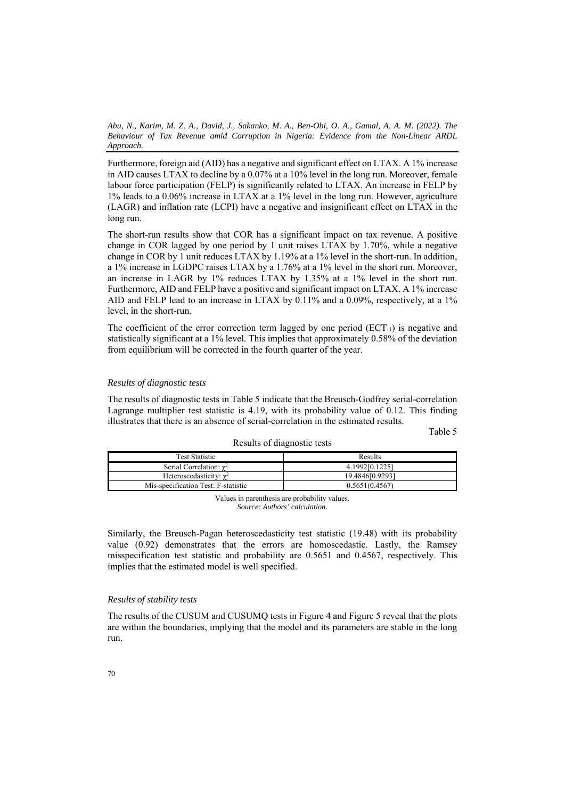Furthermore, foreign aid (AID) has a negative and significant effect on LTAX. A 1% increase in AID causes LTAX to decline by a 0.07% at a 10% level in the long run. Moreover, female labour force participation (FELP) is significantly related to LTAX. An increase in FELP by 1% leads to a 0.06% increase in LTAX at a 1% level in the long run. However, agriculture (LAGR) and inflation rate (LCPI) have a negative and insignificant effect on LTAX in the long run.

The short-run results show that COR has a significant impact on tax revenue. A positive change in COR lagged by one period by 1 unit raises LTAX by 1.70%, while a negative change in COR by 1 unit reduces LTAX by 1.19% at a 1% level in the short-run. In addition, a 1% increase in LGDPC raises LTAX by a 1.76% at a 1% level in the short run. Moreover, an increase in LAGR by 1% reduces LTAX by 1.35% at a 1% level in the short run. Furthermore, AID and FELP have a positive and significant impact on LTAX. A 1% increase AID and FELP lead to an increase in LTAX by 0.11% and a 0.09%, respectively, at a 1% level, in the short-run.

The coefficient of the error correction term lagged by one period  $(ECT<sub>-1</sub>)$  is negative and statistically significant at a 1% level. This implies that approximately 0.58% of the deviation from equilibrium will be corrected in the fourth quarter of the year.

## *Results of diagnostic tests*

The results of diagnostic tests in Table 5 indicate that the Breusch-Godfrey serial-correlation Lagrange multiplier test statistic is 4.19, with its probability value of 0.12. This finding illustrates that there is an absence of serial-correlation in the estimated results.

Table 5

| <b>Test Statistic</b>               | Results         |  |  |
|-------------------------------------|-----------------|--|--|
| Serial Correlation: $\gamma^2$      | 4.1992[0.1225]  |  |  |
| Heteroscedasticity: $\gamma^2$      | 19.484610.92931 |  |  |
| Mis-specification Test: F-statistic | 0.5651(0.4567)  |  |  |

Results of diagnostic tests

Values in parenthesis are probability values. *Source: Authors' calculation.* 

Similarly, the Breusch-Pagan heteroscedasticity test statistic (19.48) with its probability value (0.92) demonstrates that the errors are homoscedastic. Lastly, the Ramsey misspecification test statistic and probability are 0.5651 and 0.4567, respectively. This implies that the estimated model is well specified.

## *Results of stability tests*

The results of the CUSUM and CUSUMQ tests in Figure 4 and Figure 5 reveal that the plots are within the boundaries, implying that the model and its parameters are stable in the long run.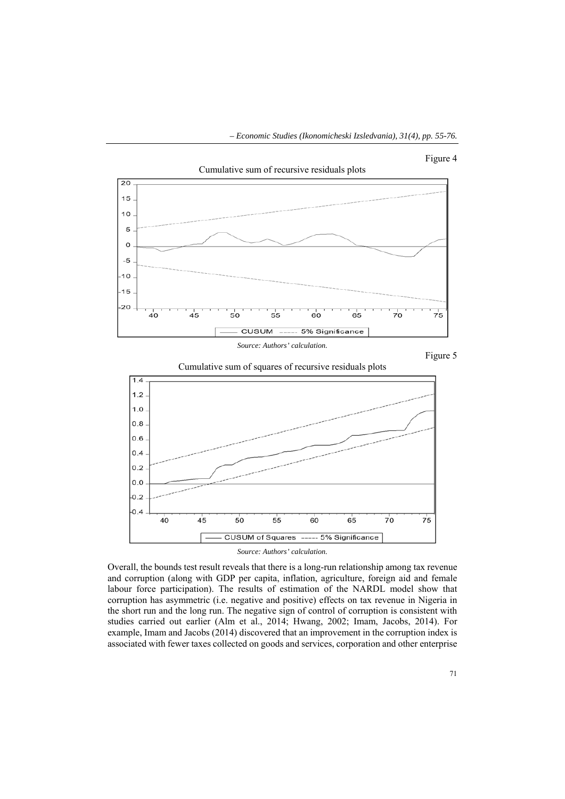











Overall, the bounds test result reveals that there is a long-run relationship among tax revenue and corruption (along with GDP per capita, inflation, agriculture, foreign aid and female labour force participation). The results of estimation of the NARDL model show that corruption has asymmetric (i.e. negative and positive) effects on tax revenue in Nigeria in the short run and the long run. The negative sign of control of corruption is consistent with studies carried out earlier (Alm et al., 2014; Hwang, 2002; Imam, Jacobs, 2014). For example, Imam and Jacobs (2014) discovered that an improvement in the corruption index is associated with fewer taxes collected on goods and services, corporation and other enterprise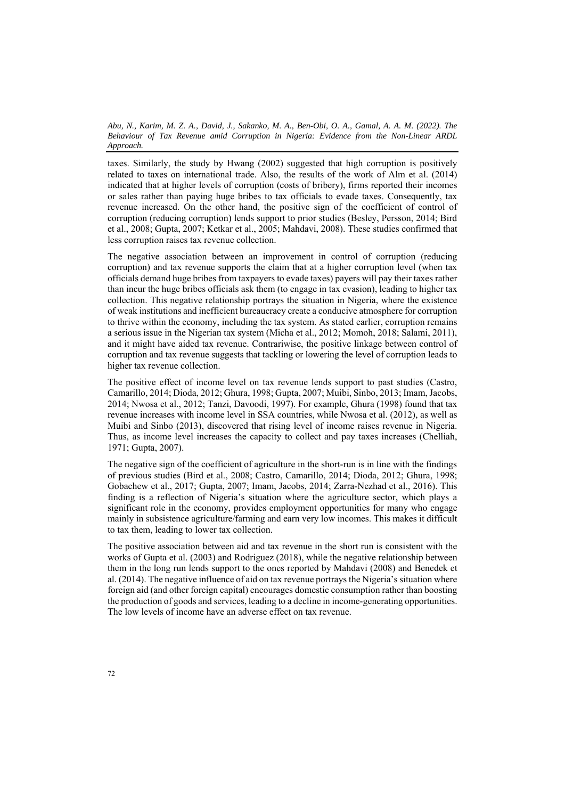taxes. Similarly, the study by Hwang (2002) suggested that high corruption is positively related to taxes on international trade. Also, the results of the work of Alm et al. (2014) indicated that at higher levels of corruption (costs of bribery), firms reported their incomes or sales rather than paying huge bribes to tax officials to evade taxes. Consequently, tax revenue increased. On the other hand, the positive sign of the coefficient of control of corruption (reducing corruption) lends support to prior studies (Besley, Persson, 2014; Bird et al., 2008; Gupta, 2007; Ketkar et al., 2005; Mahdavi, 2008). These studies confirmed that less corruption raises tax revenue collection.

The negative association between an improvement in control of corruption (reducing corruption) and tax revenue supports the claim that at a higher corruption level (when tax officials demand huge bribes from taxpayers to evade taxes) payers will pay their taxes rather than incur the huge bribes officials ask them (to engage in tax evasion), leading to higher tax collection. This negative relationship portrays the situation in Nigeria, where the existence of weak institutions and inefficient bureaucracy create a conducive atmosphere for corruption to thrive within the economy, including the tax system. As stated earlier, corruption remains a serious issue in the Nigerian tax system (Micha et al., 2012; Momoh, 2018; Salami, 2011), and it might have aided tax revenue. Contrariwise, the positive linkage between control of corruption and tax revenue suggests that tackling or lowering the level of corruption leads to higher tax revenue collection.

The positive effect of income level on tax revenue lends support to past studies (Castro, Camarillo, 2014; Dioda, 2012; Ghura, 1998; Gupta, 2007; Muibi, Sinbo, 2013; Imam, Jacobs, 2014; Nwosa et al., 2012; Tanzi, Davoodi, 1997). For example, Ghura (1998) found that tax revenue increases with income level in SSA countries, while Nwosa et al. (2012), as well as Muibi and Sinbo (2013), discovered that rising level of income raises revenue in Nigeria. Thus, as income level increases the capacity to collect and pay taxes increases (Chelliah, 1971; Gupta, 2007).

The negative sign of the coefficient of agriculture in the short-run is in line with the findings of previous studies (Bird et al., 2008; Castro, Camarillo, 2014; Dioda, 2012; Ghura, 1998; Gobachew et al., 2017; Gupta, 2007; Imam, Jacobs, 2014; Zarra-Nezhad et al., 2016). This finding is a reflection of Nigeria's situation where the agriculture sector, which plays a significant role in the economy, provides employment opportunities for many who engage mainly in subsistence agriculture/farming and earn very low incomes. This makes it difficult to tax them, leading to lower tax collection.

The positive association between aid and tax revenue in the short run is consistent with the works of Gupta et al. (2003) and Rodriguez (2018), while the negative relationship between them in the long run lends support to the ones reported by Mahdavi (2008) and Benedek et al. (2014). The negative influence of aid on tax revenue portrays the Nigeria's situation where foreign aid (and other foreign capital) encourages domestic consumption rather than boosting the production of goods and services, leading to a decline in income-generating opportunities. The low levels of income have an adverse effect on tax revenue.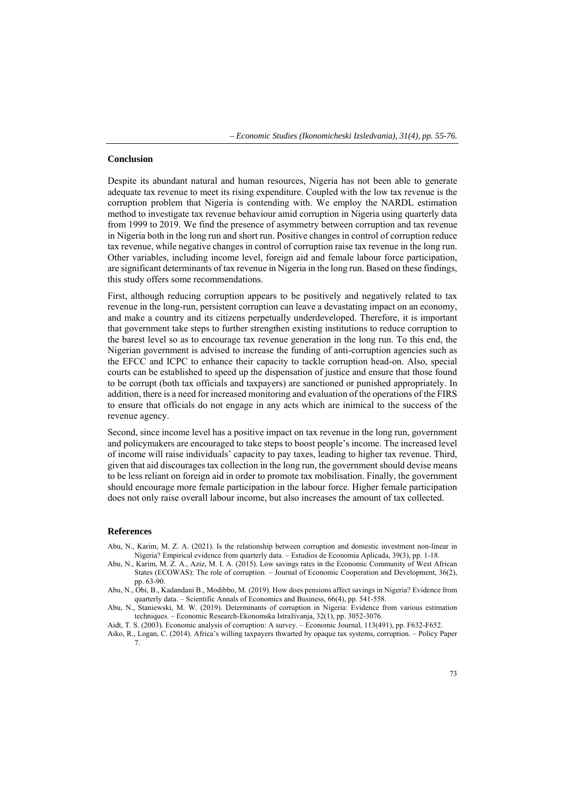## **Conclusion**

Despite its abundant natural and human resources, Nigeria has not been able to generate adequate tax revenue to meet its rising expenditure. Coupled with the low tax revenue is the corruption problem that Nigeria is contending with. We employ the NARDL estimation method to investigate tax revenue behaviour amid corruption in Nigeria using quarterly data from 1999 to 2019. We find the presence of asymmetry between corruption and tax revenue in Nigeria both in the long run and short run. Positive changes in control of corruption reduce tax revenue, while negative changes in control of corruption raise tax revenue in the long run. Other variables, including income level, foreign aid and female labour force participation, are significant determinants of tax revenue in Nigeria in the long run. Based on these findings, this study offers some recommendations.

First, although reducing corruption appears to be positively and negatively related to tax revenue in the long-run, persistent corruption can leave a devastating impact on an economy, and make a country and its citizens perpetually underdeveloped. Therefore, it is important that government take steps to further strengthen existing institutions to reduce corruption to the barest level so as to encourage tax revenue generation in the long run. To this end, the Nigerian government is advised to increase the funding of anti-corruption agencies such as the EFCC and ICPC to enhance their capacity to tackle corruption head-on. Also, special courts can be established to speed up the dispensation of justice and ensure that those found to be corrupt (both tax officials and taxpayers) are sanctioned or punished appropriately. In addition, there is a need for increased monitoring and evaluation of the operations of the FIRS to ensure that officials do not engage in any acts which are inimical to the success of the revenue agency.

Second, since income level has a positive impact on tax revenue in the long run, government and policymakers are encouraged to take steps to boost people's income. The increased level of income will raise individuals' capacity to pay taxes, leading to higher tax revenue. Third, given that aid discourages tax collection in the long run, the government should devise means to be less reliant on foreign aid in order to promote tax mobilisation. Finally, the government should encourage more female participation in the labour force. Higher female participation does not only raise overall labour income, but also increases the amount of tax collected.

## **References**

Abu, N., Karim, M. Z. A. (2021). Is the relationship between corruption and domestic investment non-linear in Nigeria? Empirical evidence from quarterly data. – Estudios de Economia Aplicada, 39(3), pp. 1-18.

- Abu, N., Karim, M. Z. A., Aziz, M. I. A. (2015). Low savings rates in the Economic Community of West African States (ECOWAS): The role of corruption. – Journal of Economic Cooperation and Development, 36(2), рр. 63-90.
- Abu, N., Obi, B., Kadandani B., Modibbo, M. (2019). How does pensions affect savings in Nigeria? Evidence from quarterly data. – Scientific Annals of Economics and Business, 66(4), pp. 541-558.
- Abu, N., Staniewski, M. W. (2019). Determinants of corruption in Nigeria: Evidence from various estimation techniques. – Economic Research-Ekonomska Istraživanja, 32(1), рр. 3052-3076.

Aidt, T. S. (2003). Economic analysis of corruption: A survey. – Economic Journal, 113(491), рр. F632-F652.

Aiko, R., Logan, C. (2014). Africa's willing taxpayers thwarted by opaque tax systems, corruption. – Policy Paper 7.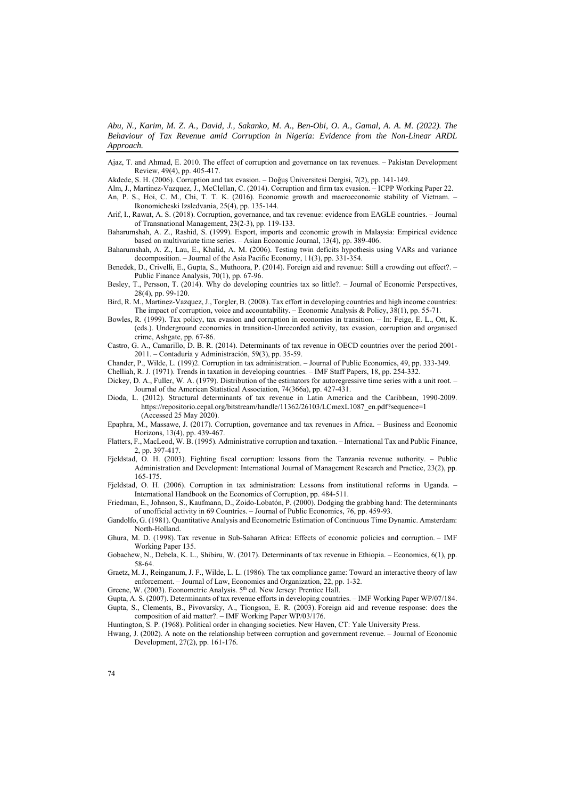Ajaz, T. and Ahmad, E. 2010. The effect of corruption and governance on tax revenues. – Pakistan Development Review, 49(4), рр. 405-417.

Akdede, S. H. (2006). Corruption and tax evasion. – Doğuş Üniversitesi Dergisi, 7(2), рр. 141-149.

- Alm, J., Martinez-Vazquez, J., McClellan, C. (2014). Corruption and firm tax evasion. ICPP Working Paper 22. An, P. S., Hoi, C. M., Chi, T. T. K. (2016). Economic growth and macroeconomic stability of Vietnam. – Ikonomicheski Izsledvania, 25(4), рр. 135-144.
- Arif, I., Rawat, A. S. (2018). Corruption, governance, and tax revenue: evidence from EAGLE countries. Journal of Transnational Management, 23(2-3), рр. 119-133.
- Baharumshah, A. Z., Rashid, S. (1999). Export, imports and economic growth in Malaysia: Empirical evidence based on multivariate time series. – Asian Economic Journal, 13(4), рр. 389-406.
- Baharumshah, A. Z., Lau, E., Khalid, A. M. (2006). Testing twin deficits hypothesis using VARs and variance decomposition. – Journal of the Asia Pacific Economy, 11(3), рр. 331-354.
- Benedek, D., Crivelli, E., Gupta, S., Muthoora, P. (2014). Foreign aid and revenue: Still a crowding out effect?. Public Finance Analysis, 70(1), рр. 67-96.
- Besley, T., Persson, T. (2014). Why do developing countries tax so little?. Journal of Economic Perspectives, 28(4), рр. 99-120.
- Bird, R. M., Martinez-Vazquez, J., Torgler, B. (2008). Tax effort in developing countries and high income countries: The impact of corruption, voice and accountability. – Economic Analysis & Policy, 38(1), рр. 55-71.
- Bowles, R. (1999). Tax policy, tax evasion and corruption in economies in transition. In: Feige, E. L., Ott, K. (eds.). Underground economies in transition-Unrecorded activity, tax evasion, corruption and organised crime, Ashgate, рр. 67-86.
- Castro, G. A., Camarillo, D. B. R. (2014). Determinants of tax revenue in OECD countries over the period 2001- 2011. – Contaduría y Administración, 59(3), рр. 35-59.
- Chander, P., Wilde, L. (199)2. Corruption in tax administration. Journal of Public Economics, 49, рр. 333-349.

Chelliah, R. J. (1971). Trends in taxation in developing countries. – IMF Staff Papers, 18, рр. 254-332.

- Dickey, D. A., Fuller, W. A. (1979). Distribution of the estimators for autoregressive time series with a unit root. Journal of the American Statistical Association, 74(366a), рр. 427-431.
- Dioda, L. (2012). Structural determinants of tax revenue in Latin America and the Caribbean, 1990-2009. https://repositorio.cepal.org/bitstream/handle/11362/26103/LCmexL1087\_en.pdf?sequence=1 (Accessed 25 May 2020).
- Epaphra, M., Massawe, J. (2017). Corruption, governance and tax revenues in Africa. Business and Economic Horizons, 13(4), рр. 439-467.
- Flatters, F., MacLeod, W. B. (1995). Administrative corruption and taxation. International Tax and Public Finance, 2, рр. 397-417.
- Fjeldstad, O. H. (2003). Fighting fiscal corruption: lessons from the Tanzania revenue authority. Public Administration and Development: International Journal of Management Research and Practice, 23(2), рр. 165-175.
- Fjeldstad, O. H. (2006). Corruption in tax administration: Lessons from institutional reforms in Uganda. International Handbook on the Economics of Corruption, рр. 484-511.
- Friedman, E., Johnson, S., Kaufmann, D., Zoido-Lobatón, P. (2000). Dodging the grabbing hand: The determinants of unofficial activity in 69 Countries. – Journal of Public Economics, 76, рр. 459-93.
- Gandolfo, G. (1981). Quantitative Analysis and Econometric Estimation of Continuous Time Dynamic. Amsterdam: North-Holland.
- Ghura, M. D. (1998). Tax revenue in Sub-Saharan Africa: Effects of economic policies and corruption. IMF Working Paper 135.
- Gobachew, N., Debela, K. L., Shibiru, W. (2017). Determinants of tax revenue in Ethiopia. Economics, 6(1), рр. 58-64.
- Graetz, M. J., Reinganum, J. F., Wilde, L. L. (1986). The tax compliance game: Toward an interactive theory of law enforcement. – Journal of Law, Economics and Organization, 22, рр. 1-32.

Greene, W. (2003). Econometric Analysis. 5<sup>th</sup> ed. New Jersey: Prentice Hall.

Gupta, A. S. (2007). Determinants of tax revenue efforts in developing countries. – IMF Working Paper WP/07/184. Gupta, S., Clements, B., Pivovarsky, A., Tiongson, E. R. (2003). Foreign aid and revenue response: does the composition of aid matter?. – IMF Working Paper WP/03/176.

Hwang, J. (2002). A note on the relationship between corruption and government revenue. – Journal of Economic Development, 27(2), рр. 161-176.

Huntington, S. P. (1968). Political order in changing societies. New Haven, CT: Yale University Press.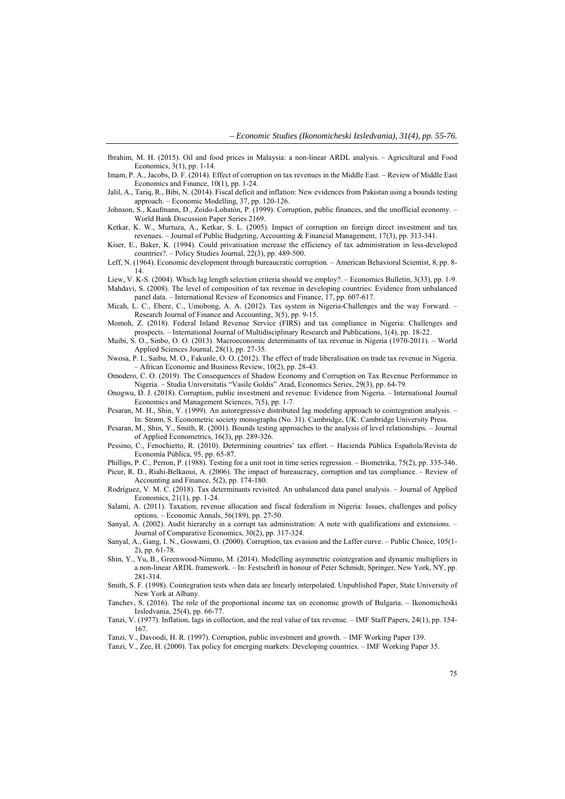- Ibrahim, M. H. (2015). Oil and food prices in Malaysia: a non-linear ARDL analysis. Agricultural and Food Economics, 3(1), рр. 1-14.
- Imam, P. A., Jacobs, D. F. (2014). Effect of corruption on tax revenues in the Middle East. Review of Middle East Economics and Finance, 10(1), рр. 1-24.
- Jalil, A., Tariq, R., Bibi, N. (2014). Fiscal deficit and inflation: New evidences from Pakistan using a bounds testing approach. – Economic Modelling, 37, рр. 120-126.
- Johnson, S., Kaufmann, D., Zoido-Lobatón, P. (1999). Corruption, public finances, and the unofficial economy. World Bank Discussion Paper Series 2169.
- Ketkar, K. W., Murtuza, A., Ketkar, S. L. (2005). Impact of corruption on foreign direct investment and tax revenues. – Journal of Public Budgeting, Accounting & Financial Management, 17(3), рр. 313-341.
- Kiser, E., Baker, K. (1994). Could privatisation increase the efficiency of tax administration in less-developed countries?. – Policy Studies Journal, 22(3), рр. 489-500.
- Leff, N. (1964). Economic development through bureaucratic corruption. American Behavioral Scientist, 8, рр. 8- 14.
- Liew, V. K-S. (2004). Which lag length selection criteria should we employ?. Economics Bulletin, 3(33), рр. 1-9. Mahdavi, S. (2008). The level of composition of tax revenue in developing countries: Evidence from unbalanced panel data. – International Review of Economics and Finance, 17, рр. 607-617.
- Micah, L. C., Ebere, C., Umobong, A. A. (2012). Tax system in Nigeria-Challenges and the way Forward. Research Journal of Finance and Accounting, 3(5), pp. 9-15.
- Momoh, Z. (2018). Federal Inland Revenue Service (FIRS) and tax compliance in Nigeria: Challenges and prospects. – International Journal of Multidisciplinary Research and Publications, 1(4), рр. 18-22.
- Muibi, S. O., Sinbo, O. O. (2013). Macroeconomic determinants of tax revenue in Nigeria (1970-2011). World Applied Sciences Journal, 28(1), рр. 27-35.
- Nwosa, P. I., Saibu, M. O., Fakunle, O. O. (2012). The effect of trade liberalisation on trade tax revenue in Nigeria. – African Economic and Business Review, 10(2), рр. 28-43.
- Omodero, C. O. (2019). The Consequences of Shadow Economy and Corruption on Tax Revenue Performance in Nigeria. – Studia Universitatis "Vasile Goldis" Arad, Economics Series, 29(3), рр. 64-79.
- Onogwu, D. J. (2018). Corruption, public investment and revenue: Evidence from Nigeria. International Journal Economics and Management Sciences, 7(5), рр. 1-7.
- Pesaran, M. H., Shin, Y. (1999). An autoregressive distributed lag modeling approach to cointegration analysis. In: Strøm, S. Econometric society monographs (No. 31). Cambridge, UK: Cambridge University Press.
- Pesaran, M., Shin, Y., Smith, R. (2001). Bounds testing approaches to the analysis of level relationships. Journal of Applied Econometrics, 16(3), рр. 289-326.
- Pessino, C., Fenochietto, R. (2010). Determining countries' tax effort. Hacienda Pública Española/Revista de Economía Pública, 95, рр. 65-87.
- Phillips, P. C., Perron, P. (1988). Testing for a unit root in time series regression. Biometrika, 75(2), рр. 335-346. Picur, R. D., Riahi‐Belkaoui, A. (2006). The impact of bureaucracy, corruption and tax compliance. – Review of Accounting and Finance, 5(2), рр. 174-180.
- Rodríguez, V. M. C. (2018). Tax determinants revisited. An unbalanced data panel analysis. Journal of Applied Economics, 21(1), рр. 1-24.
- Salami, A. (2011). Taxation, revenue allocation and fiscal federalism in Nigeria: Issues, challenges and policy options. – Economic Annals, 56(189), рр. 27-50.
- Sanyal, A. (2002). Audit hierarchy in a corrupt tax administration: A note with qualifications and extensions. Journal of Comparative Economics, 30(2), рр. 317-324.
- Sanyal, A., Gang, I. N., Goswami, O. (2000). Corruption, tax evasion and the Laffer curve. Public Choice, 105(1- 2), рр. 61-78.
- Shin, Y., Yu, B., Greenwood-Nimmo, M. (2014). Modelling asymmetric cointegration and dynamic multipliers in a non-linear ARDL framework. – In: Festschrift in honour of Peter Schmidt, Springer, New York, NY, рр. 281-314.
- Smith, S. F. (1998). Cointegration tests when data are linearly interpolated. Unpublished Paper, State University of New York at Albany.
- Tanchev, S. (2016). The role of the proportional income tax on economic growth of Bulgaria. Ikonomicheski Izsledvania, 25(4), рр. 66-77.
- Tanzi, V. (1977). Inflation, lags in collection, and the real value of tax revenue. IMF Staff Papers, 24(1), рр. 154- 167.
- Tanzi, V., Davoodi, H. R. (1997). Corruption, public investment and growth. IMF Working Paper 139.
- Tanzi, V., Zee, H. (2000). Tax policy for emerging markets: Developing countries. IMF Working Paper 35.